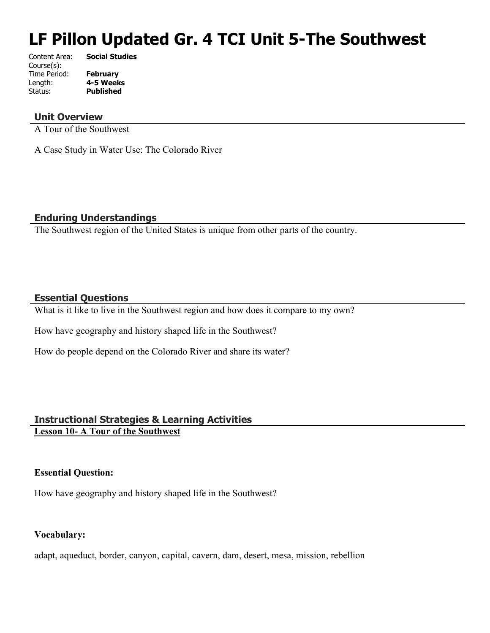# **LF Pillon Updated Gr. 4 TCI Unit 5-The Southwest**

| Content Area: | <b>Social Studies</b> |
|---------------|-----------------------|
| Course(s):    |                       |
| Time Period:  | <b>February</b>       |
| Length:       | 4-5 Weeks             |
| Status:       | <b>Published</b>      |
|               |                       |

# **Unit Overview**

A Tour of the Southwest

A Case Study in Water Use: The Colorado River

# **Enduring Understandings**

The Southwest region of the United States is unique from other parts of the country.

# **Essential Questions**

What is it like to live in the Southwest region and how does it compare to my own?

How have geography and history shaped life in the Southwest?

How do people depend on the Colorado River and share its water?

# **Instructional Strategies & Learning Activities Lesson 10- A Tour of the Southwest**

# **Essential Question:**

How have geography and history shaped life in the Southwest?

# **Vocabulary:**

adapt, aqueduct, border, canyon, capital, cavern, dam, desert, mesa, mission, rebellion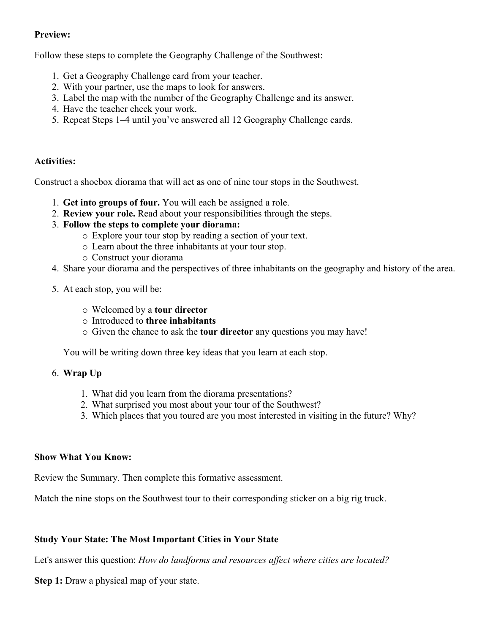# **Preview:**

Follow these steps to complete the Geography Challenge of the Southwest:

- 1. Get a Geography Challenge card from your teacher.
- 2. With your partner, use the maps to look for answers.
- 3. Label the map with the number of the Geography Challenge and its answer.
- 4. Have the teacher check your work.
- 5. Repeat Steps 1–4 until you've answered all 12 Geography Challenge cards.

# **Activities:**

Construct a shoebox diorama that will act as one of nine tour stops in the Southwest.

- 1. **Get into groups of four.** You will each be assigned a role.
- 2. **Review your role.** Read about your responsibilities through the steps.
- 3. **Follow the steps to complete your diorama:**
	- o Explore your tour stop by reading a section of your text.
	- o Learn about the three inhabitants at your tour stop.
	- o Construct your diorama
- 4. Share your diorama and the perspectives of three inhabitants on the geography and history of the area.
- 5. At each stop, you will be:
	- o Welcomed by a **tour director**
	- o Introduced to **three inhabitants**
	- o Given the chance to ask the **tour director** any questions you may have!

You will be writing down three key ideas that you learn at each stop.

#### 6. **Wrap Up**

- 1. What did you learn from the diorama presentations?
- 2. What surprised you most about your tour of the Southwest?
- 3. Which places that you toured are you most interested in visiting in the future? Why?

### **Show What You Know:**

Review the Summary. Then complete this formative assessment.

Match the nine stops on the Southwest tour to their corresponding sticker on a big rig truck.

# **Study Your State: The Most Important Cities in Your State**

Let's answer this question: *How do landforms and resources affect where cities are located?*

**Step 1:** Draw a physical map of your state.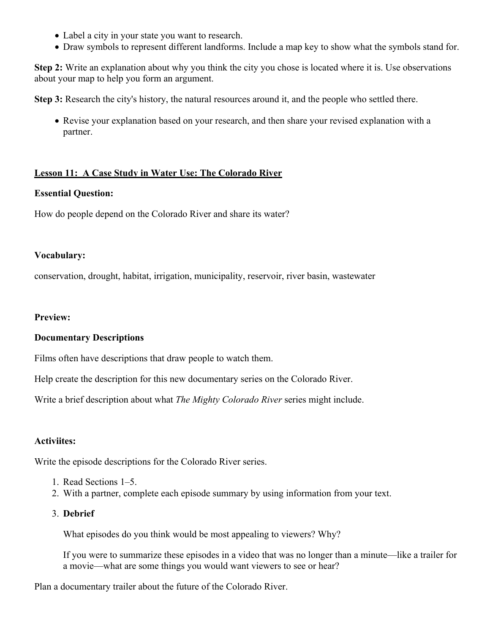- Label a city in your state you want to research.
- Draw symbols to represent different landforms. Include a map key to show what the symbols stand for.

**Step 2:** Write an explanation about why you think the city you chose is located where it is. Use observations about your map to help you form an argument.

**Step 3:** Research the city's history, the natural resources around it, and the people who settled there.

 Revise your explanation based on your research, and then share your revised explanation with a partner.

#### **Lesson 11: A Case Study in Water Use: The Colorado River**

#### **Essential Question:**

How do people depend on the Colorado River and share its water?

#### **Vocabulary:**

conservation, drought, habitat, irrigation, municipality, reservoir, river basin, wastewater

#### **Preview:**

#### **Documentary Descriptions**

Films often have descriptions that draw people to watch them.

Help create the description for this new documentary series on the Colorado River.

Write a brief description about what *The Mighty Colorado River* series might include.

#### **Activiites:**

Write the episode descriptions for the Colorado River series.

- 1. Read Sections 1–5.
- 2. With a partner, complete each episode summary by using information from your text.

#### 3. **Debrief**

What episodes do you think would be most appealing to viewers? Why?

If you were to summarize these episodes in a video that was no longer than a minute—like a trailer for a movie—what are some things you would want viewers to see or hear?

Plan a documentary trailer about the future of the Colorado River.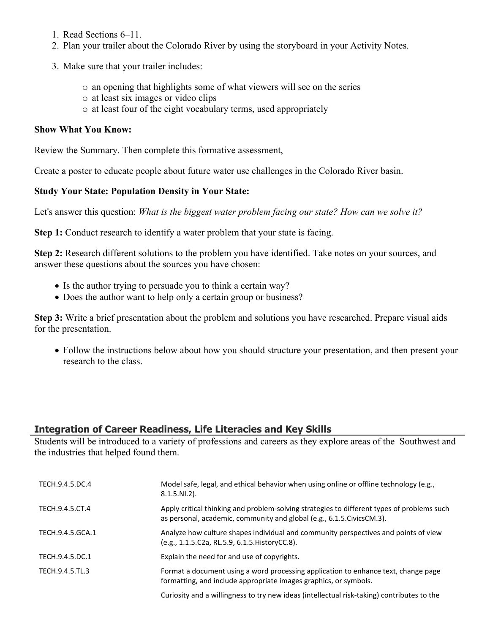- 1. Read Sections 6–11.
- 2. Plan your trailer about the Colorado River by using the storyboard in your Activity Notes.
- 3. Make sure that your trailer includes:
	- o an opening that highlights some of what viewers will see on the series
	- o at least six images or video clips
	- o at least four of the eight vocabulary terms, used appropriately

## **Show What You Know:**

Review the Summary. Then complete this formative assessment,

Create a poster to educate people about future water use challenges in the Colorado River basin.

# **Study Your State: Population Density in Your State:**

Let's answer this question: *What is the biggest water problem facing our state? How can we solve it?*

**Step 1:** Conduct research to identify a water problem that your state is facing.

**Step 2:** Research different solutions to the problem you have identified. Take notes on your sources, and answer these questions about the sources you have chosen:

- Is the author trying to persuade you to think a certain way?
- Does the author want to help only a certain group or business?

**Step 3:** Write a brief presentation about the problem and solutions you have researched. Prepare visual aids for the presentation.

 Follow the instructions below about how you should structure your presentation, and then present your research to the class.

# **Integration of Career Readiness, Life Literacies and Key Skills**

Students will be introduced to a variety of professions and careers as they explore areas of the Southwest and the industries that helped found them.

| TECH.9.4.5.DC.4  | Model safe, legal, and ethical behavior when using online or offline technology (e.g.,<br>$8.1.5.NI.2$ ).                                                             |
|------------------|-----------------------------------------------------------------------------------------------------------------------------------------------------------------------|
| TECH.9.4.5.CT.4  | Apply critical thinking and problem-solving strategies to different types of problems such<br>as personal, academic, community and global (e.g., 6.1.5. Civics CM.3). |
| TECH.9.4.5.GCA.1 | Analyze how culture shapes individual and community perspectives and points of view<br>(e.g., 1.1.5.C2a, RL.5.9, 6.1.5. HistoryCC.8).                                 |
| TECH.9.4.5.DC.1  | Explain the need for and use of copyrights.                                                                                                                           |
| TECH.9.4.5.TL.3  | Format a document using a word processing application to enhance text, change page<br>formatting, and include appropriate images graphics, or symbols.                |
|                  | Curiosity and a willingness to try new ideas (intellectual risk-taking) contributes to the                                                                            |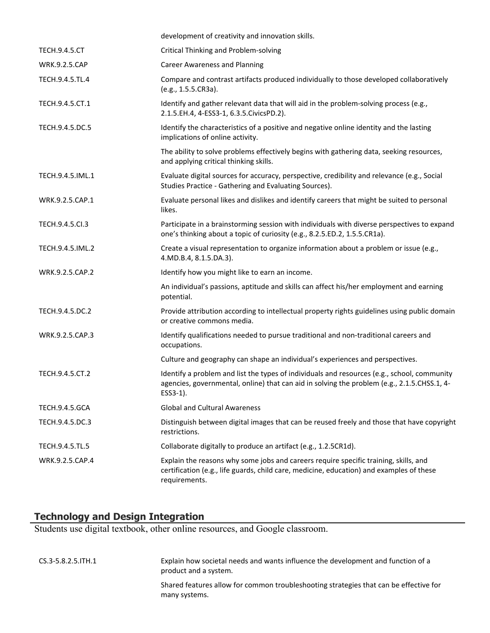|                       | development of creativity and innovation skills.                                                                                                                                                       |
|-----------------------|--------------------------------------------------------------------------------------------------------------------------------------------------------------------------------------------------------|
| <b>TECH.9.4.5.CT</b>  | <b>Critical Thinking and Problem-solving</b>                                                                                                                                                           |
| WRK.9.2.5.CAP         | <b>Career Awareness and Planning</b>                                                                                                                                                                   |
| TECH.9.4.5.TL.4       | Compare and contrast artifacts produced individually to those developed collaboratively<br>(e.g., 1.5.5.CR3a).                                                                                         |
| TECH.9.4.5.CT.1       | Identify and gather relevant data that will aid in the problem-solving process (e.g.,<br>2.1.5.EH.4, 4-ESS3-1, 6.3.5.CivicsPD.2).                                                                      |
| TECH.9.4.5.DC.5       | Identify the characteristics of a positive and negative online identity and the lasting<br>implications of online activity.                                                                            |
|                       | The ability to solve problems effectively begins with gathering data, seeking resources,<br>and applying critical thinking skills.                                                                     |
| TECH.9.4.5.IML.1      | Evaluate digital sources for accuracy, perspective, credibility and relevance (e.g., Social<br>Studies Practice - Gathering and Evaluating Sources).                                                   |
| WRK.9.2.5.CAP.1       | Evaluate personal likes and dislikes and identify careers that might be suited to personal<br>likes.                                                                                                   |
| TECH.9.4.5.Cl.3       | Participate in a brainstorming session with individuals with diverse perspectives to expand<br>one's thinking about a topic of curiosity (e.g., 8.2.5.ED.2, 1.5.5.CR1a).                               |
| TECH.9.4.5.IML.2      | Create a visual representation to organize information about a problem or issue (e.g.,<br>4.MD.B.4, 8.1.5.DA.3).                                                                                       |
| WRK.9.2.5.CAP.2       | Identify how you might like to earn an income.                                                                                                                                                         |
|                       | An individual's passions, aptitude and skills can affect his/her employment and earning<br>potential.                                                                                                  |
| TECH.9.4.5.DC.2       | Provide attribution according to intellectual property rights guidelines using public domain<br>or creative commons media.                                                                             |
| WRK.9.2.5.CAP.3       | Identify qualifications needed to pursue traditional and non-traditional careers and<br>occupations.                                                                                                   |
|                       | Culture and geography can shape an individual's experiences and perspectives.                                                                                                                          |
| TECH.9.4.5.CT.2       | Identify a problem and list the types of individuals and resources (e.g., school, community<br>agencies, governmental, online) that can aid in solving the problem (e.g., 2.1.5.CHSS.1, 4-<br>ESS3-1). |
| <b>TECH.9.4.5.GCA</b> | <b>Global and Cultural Awareness</b>                                                                                                                                                                   |
| TECH.9.4.5.DC.3       | Distinguish between digital images that can be reused freely and those that have copyright<br>restrictions.                                                                                            |
| TECH.9.4.5.TL.5       | Collaborate digitally to produce an artifact (e.g., 1.2.5CR1d).                                                                                                                                        |
| WRK.9.2.5.CAP.4       | Explain the reasons why some jobs and careers require specific training, skills, and<br>certification (e.g., life guards, child care, medicine, education) and examples of these<br>requirements.      |

# **Technology and Design Integration**

Students use digital textbook, other online resources, and Google classroom.

| CS.3-5.8.2.5.ITH.1 | Explain how societal needs and wants influence the development and function of a<br>product and a system. |
|--------------------|-----------------------------------------------------------------------------------------------------------|
|                    | Shared features allow for common troubleshooting strategies that can be effective for<br>many systems.    |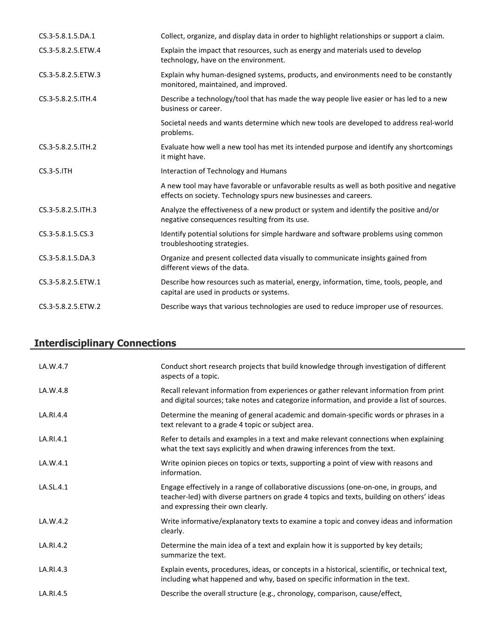| CS.3-5.8.1.5.DA.1   | Collect, organize, and display data in order to highlight relationships or support a claim.                                                                    |
|---------------------|----------------------------------------------------------------------------------------------------------------------------------------------------------------|
| CS.3-5.8.2.5.ETW.4  | Explain the impact that resources, such as energy and materials used to develop<br>technology, have on the environment.                                        |
| CS.3-5.8.2.5.ETW.3  | Explain why human-designed systems, products, and environments need to be constantly<br>monitored, maintained, and improved.                                   |
| CS.3-5.8.2.5. ITH.4 | Describe a technology/tool that has made the way people live easier or has led to a new<br>business or career.                                                 |
|                     | Societal needs and wants determine which new tools are developed to address real-world<br>problems.                                                            |
| CS.3-5.8.2.5.ITH.2  | Evaluate how well a new tool has met its intended purpose and identify any shortcomings<br>it might have.                                                      |
| $CS.3-5.1TH$        | Interaction of Technology and Humans                                                                                                                           |
|                     | A new tool may have favorable or unfavorable results as well as both positive and negative<br>effects on society. Technology spurs new businesses and careers. |
| CS.3-5.8.2.5. ITH.3 | Analyze the effectiveness of a new product or system and identify the positive and/or<br>negative consequences resulting from its use.                         |
| CS.3-5.8.1.5.CS.3   | Identify potential solutions for simple hardware and software problems using common<br>troubleshooting strategies.                                             |
| CS.3-5.8.1.5.DA.3   | Organize and present collected data visually to communicate insights gained from<br>different views of the data.                                               |
| CS.3-5.8.2.5.ETW.1  | Describe how resources such as material, energy, information, time, tools, people, and<br>capital are used in products or systems.                             |
| CS.3-5.8.2.5.ETW.2  | Describe ways that various technologies are used to reduce improper use of resources.                                                                          |

# **Interdisciplinary Connections**

| LA.W.4.7  | Conduct short research projects that build knowledge through investigation of different<br>aspects of a topic.                                                                                                           |
|-----------|--------------------------------------------------------------------------------------------------------------------------------------------------------------------------------------------------------------------------|
| LA.W.4.8  | Recall relevant information from experiences or gather relevant information from print<br>and digital sources; take notes and categorize information, and provide a list of sources.                                     |
| LA.RI.4.4 | Determine the meaning of general academic and domain-specific words or phrases in a<br>text relevant to a grade 4 topic or subject area.                                                                                 |
| LA.RI.4.1 | Refer to details and examples in a text and make relevant connections when explaining<br>what the text says explicitly and when drawing inferences from the text.                                                        |
| LA.W.4.1  | Write opinion pieces on topics or texts, supporting a point of view with reasons and<br>information.                                                                                                                     |
| LA.SL.4.1 | Engage effectively in a range of collaborative discussions (one-on-one, in groups, and<br>teacher-led) with diverse partners on grade 4 topics and texts, building on others' ideas<br>and expressing their own clearly. |
| LA.W.4.2  | Write informative/explanatory texts to examine a topic and convey ideas and information<br>clearly.                                                                                                                      |
| LA.RI.4.2 | Determine the main idea of a text and explain how it is supported by key details;<br>summarize the text.                                                                                                                 |
| LA.RI.4.3 | Explain events, procedures, ideas, or concepts in a historical, scientific, or technical text,<br>including what happened and why, based on specific information in the text.                                            |
| LA.RI.4.5 | Describe the overall structure (e.g., chronology, comparison, cause/effect,                                                                                                                                              |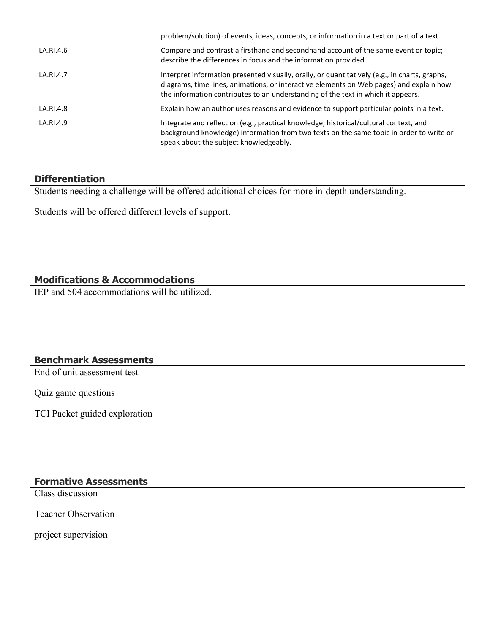|           | problem/solution) of events, ideas, concepts, or information in a text or part of a text.                                                                                                                                                                                    |
|-----------|------------------------------------------------------------------------------------------------------------------------------------------------------------------------------------------------------------------------------------------------------------------------------|
| LA.RI.4.6 | Compare and contrast a firsthand and secondhand account of the same event or topic;<br>describe the differences in focus and the information provided.                                                                                                                       |
| LA.RI.4.7 | Interpret information presented visually, orally, or quantitatively (e.g., in charts, graphs,<br>diagrams, time lines, animations, or interactive elements on Web pages) and explain how<br>the information contributes to an understanding of the text in which it appears. |
| LA.RI.4.8 | Explain how an author uses reasons and evidence to support particular points in a text.                                                                                                                                                                                      |
| LA.RI.4.9 | Integrate and reflect on (e.g., practical knowledge, historical/cultural context, and<br>background knowledge) information from two texts on the same topic in order to write or<br>speak about the subject knowledgeably.                                                   |

# **Differentiation**

Students needing a challenge will be offered additional choices for more in-depth understanding.

Students will be offered different levels of support.

# **Modifications & Accommodations**

IEP and 504 accommodations will be utilized.

# **Benchmark Assessments**

End of unit assessment test

Quiz game questions

TCI Packet guided exploration

**Formative Assessments**

Class discussion

Teacher Observation

project supervision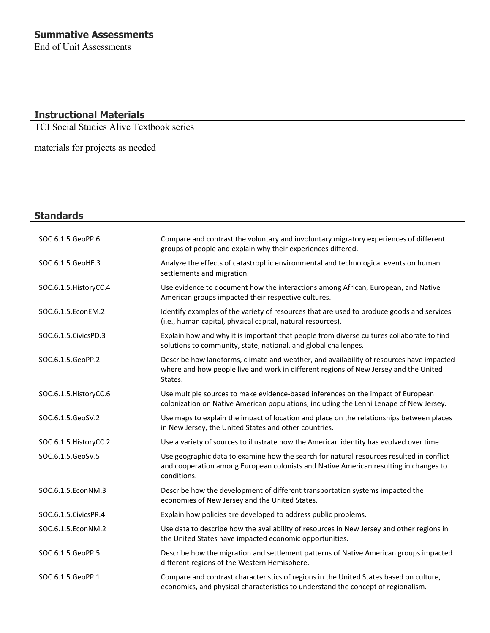End of Unit Assessments

# **Instructional Materials**

TCI Social Studies Alive Textbook series

materials for projects as needed

# **Standards**

| SOC.6.1.5.GeoPP.6      | Compare and contrast the voluntary and involuntary migratory experiences of different<br>groups of people and explain why their experiences differed.                                           |
|------------------------|-------------------------------------------------------------------------------------------------------------------------------------------------------------------------------------------------|
| SOC.6.1.5.GeoHE.3      | Analyze the effects of catastrophic environmental and technological events on human<br>settlements and migration.                                                                               |
| SOC.6.1.5. HistoryCC.4 | Use evidence to document how the interactions among African, European, and Native<br>American groups impacted their respective cultures.                                                        |
| SOC.6.1.5.EconEM.2     | Identify examples of the variety of resources that are used to produce goods and services<br>(i.e., human capital, physical capital, natural resources).                                        |
| SOC.6.1.5. Civics PD.3 | Explain how and why it is important that people from diverse cultures collaborate to find<br>solutions to community, state, national, and global challenges.                                    |
| SOC.6.1.5.GeoPP.2      | Describe how landforms, climate and weather, and availability of resources have impacted<br>where and how people live and work in different regions of New Jersey and the United<br>States.     |
| SOC.6.1.5. HistoryCC.6 | Use multiple sources to make evidence-based inferences on the impact of European<br>colonization on Native American populations, including the Lenni Lenape of New Jersey.                      |
| SOC.6.1.5.GeoSV.2      | Use maps to explain the impact of location and place on the relationships between places<br>in New Jersey, the United States and other countries.                                               |
| SOC.6.1.5. HistoryCC.2 | Use a variety of sources to illustrate how the American identity has evolved over time.                                                                                                         |
| SOC.6.1.5.GeoSV.5      | Use geographic data to examine how the search for natural resources resulted in conflict<br>and cooperation among European colonists and Native American resulting in changes to<br>conditions. |
| SOC.6.1.5.EconNM.3     | Describe how the development of different transportation systems impacted the<br>economies of New Jersey and the United States.                                                                 |
| SOC.6.1.5. Civics PR.4 | Explain how policies are developed to address public problems.                                                                                                                                  |
| SOC.6.1.5.EconNM.2     | Use data to describe how the availability of resources in New Jersey and other regions in<br>the United States have impacted economic opportunities.                                            |
| SOC.6.1.5.GeoPP.5      | Describe how the migration and settlement patterns of Native American groups impacted<br>different regions of the Western Hemisphere.                                                           |
| SOC.6.1.5.GeoPP.1      | Compare and contrast characteristics of regions in the United States based on culture,<br>economics, and physical characteristics to understand the concept of regionalism.                     |